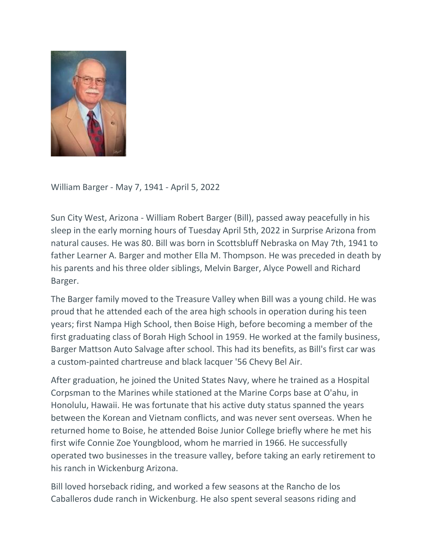

William Barger - May 7, 1941 - April 5, 2022

Sun City West, Arizona - William Robert Barger (Bill), passed away peacefully in his sleep in the early morning hours of Tuesday April 5th, 2022 in Surprise Arizona from natural causes. He was 80. Bill was born in Scottsbluff Nebraska on May 7th, 1941 to father Learner A. Barger and mother Ella M. Thompson. He was preceded in death by his parents and his three older siblings, Melvin Barger, Alyce Powell and Richard Barger.

The Barger family moved to the Treasure Valley when Bill was a young child. He was proud that he attended each of the area high schools in operation during his teen years; first Nampa High School, then Boise High, before becoming a member of the first graduating class of Borah High School in 1959. He worked at the family business, Barger Mattson Auto Salvage after school. This had its benefits, as Bill's first car was a custom-painted chartreuse and black lacquer '56 Chevy Bel Air.

After graduation, he joined the United States Navy, where he trained as a Hospital Corpsman to the Marines while stationed at the Marine Corps base at O'ahu, in Honolulu, Hawaii. He was fortunate that his active duty status spanned the years between the Korean and Vietnam conflicts, and was never sent overseas. When he returned home to Boise, he attended Boise Junior College briefly where he met his first wife Connie Zoe Youngblood, whom he married in 1966. He successfully operated two businesses in the treasure valley, before taking an early retirement to his ranch in Wickenburg Arizona.

Bill loved horseback riding, and worked a few seasons at the Rancho de los Caballeros dude ranch in Wickenburg. He also spent several seasons riding and